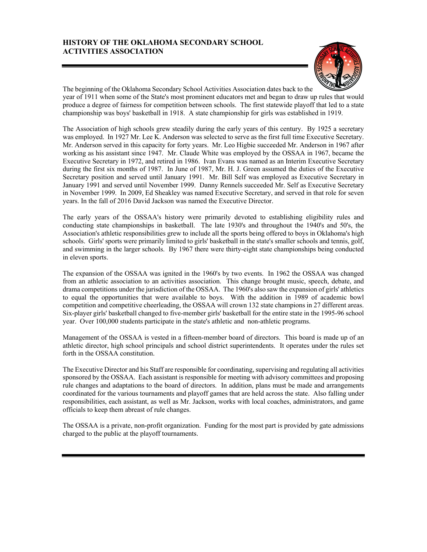## **HISTORY OF THE OKLAHOMA SECONDARY SCHOOL ACTIVITIES ASSOCIATION**



The beginning of the Oklahoma Secondary School Activities Association dates back to the year of 1911 when some of the State's most prominent educators met and began to draw up rules that would produce a degree of fairness for competition between schools. The first statewide playoff that led to a state championship was boys' basketball in 1918. A state championship for girls was established in 1919.

The Association of high schools grew steadily during the early years of this century. By 1925 a secretary was employed. In 1927 Mr. Lee K. Anderson was selected to serve as the first full time Executive Secretary. Mr. Anderson served in this capacity for forty years. Mr. Leo Higbie succeeded Mr. Anderson in 1967 after working as his assistant since 1947. Mr. Claude White was employed by the OSSAA in 1967, became the Executive Secretary in 1972, and retired in 1986. Ivan Evans was named as an Interim Executive Secretary during the first six months of 1987. In June of 1987, Mr. H. J. Green assumed the duties of the Executive Secretary position and served until January 1991. Mr. Bill Self was employed as Executive Secretary in January 1991 and served until November 1999. Danny Rennels succeeded Mr. Self as Executive Secretary in November 1999. In 2009, Ed Sheakley was named Executive Secretary, and served in that role for seven years. In the fall of 2016 David Jackson was named the Executive Director.

The early years of the OSSAA's history were primarily devoted to establishing eligibility rules and conducting state championships in basketball. The late 1930's and throughout the 1940's and 50's, the Association's athletic responsibilities grew to include all the sports being offered to boys in Oklahoma's high schools. Girls' sports were primarily limited to girls' basketball in the state's smaller schools and tennis, golf, and swimming in the larger schools. By 1967 there were thirty-eight state championships being conducted in eleven sports.

The expansion of the OSSAA was ignited in the 1960's by two events. In 1962 the OSSAA was changed from an athletic association to an activities association. This change brought music, speech, debate, and drama competitions under the jurisdiction of the OSSAA. The 1960's also saw the expansion of girls' athletics to equal the opportunities that were available to boys. With the addition in 1989 of academic bowl competition and competitive cheerleading, the OSSAA will crown 132 state champions in 27 different areas. Six-player girls' basketball changed to five-member girls' basketball for the entire state in the 1995-96 school year. Over 100,000 students participate in the state's athletic and non-athletic programs.

Management of the OSSAA is vested in a fifteen-member board of directors. This board is made up of an athletic director, high school principals and school district superintendents. It operates under the rules set forth in the OSSAA constitution.

The Executive Director and his Staff are responsible for coordinating, supervising and regulating all activities sponsored by the OSSAA. Each assistant is responsible for meeting with advisory committees and proposing rule changes and adaptations to the board of directors. In addition, plans must be made and arrangements coordinated for the various tournaments and playoff games that are held across the state. Also falling under responsibilities, each assistant, as well as Mr. Jackson, works with local coaches, administrators, and game officials to keep them abreast of rule changes.

The OSSAA is a private, non-profit organization. Funding for the most part is provided by gate admissions charged to the public at the playoff tournaments.